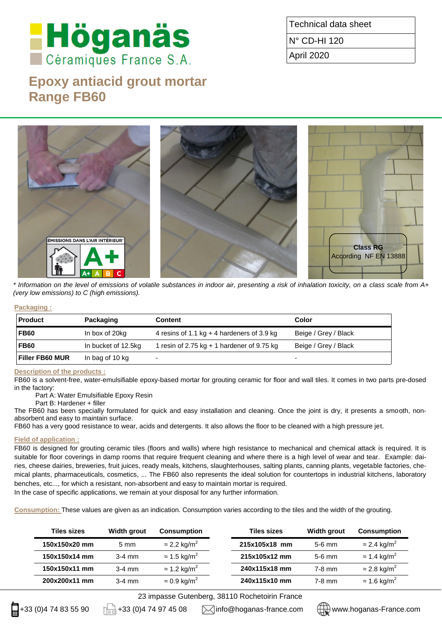# **Höganäs**

# **Epoxy antiacid grout mortar Range FB60**

Technical data sheet

N° CD-HI 120

April 2020



*\* Information on the level of emissions of volatile substances in indoor air, presenting a risk of inhalation toxicity, on a class scale from A+ (very low emissions) to C (high emissions).* 

# **Packaging :**

| <b>Product</b>         | Packaging           | Content                                      | Color                    |
|------------------------|---------------------|----------------------------------------------|--------------------------|
| <b>FB60</b>            | In box of 20kg      | 4 resins of 1.1 kg $+$ 4 hardeners of 3.9 kg | Beige / Grey / Black     |
| <b>FB60</b>            | In bucket of 12.5kg | 1 resin of 2.75 kg $+$ 1 hardener of 9.75 kg | Beige / Grey / Black     |
| <b>Filler FB60 MUR</b> | In bag of 10 kg     | $\overline{\phantom{a}}$                     | $\overline{\phantom{0}}$ |

# **Description of the products :**

FB60 is a solvent-free, water-emulsifiable epoxy-based mortar for grouting ceramic for floor and wall tiles. It comes in two parts pre-dosed in the factory:

Part A: Water Emulsifiable Epoxy Resin

Part B: Hardener + filler

The FB60 has been specially formulated for quick and easy installation and cleaning. Once the joint is dry, it presents a smooth, nonabsorbent and easy to maintain surface.

FB60 has a very good resistance to wear, acids and detergents. It also allows the floor to be cleaned with a high pressure jet.

# **Field of application :**

FB60 is designed for grouting ceramic tiles (floors and walls) where high resistance to mechanical and chemical attack is required. It is suitable for floor coverings in damp rooms that require frequent cleaning and where there is a high level of wear and tear. Example: dairies, cheese dairies, breweries, fruit juices, ready meals, kitchens, slaughterhouses, salting plants, canning plants, vegetable factories, chemical plants, pharmaceuticals, cosmetics, ... The FB60 also represents the ideal solution for countertops in industrial kitchens, laboratory benches, etc..., for which a resistant, non-absorbent and easy to maintain mortar is required.

In the case of specific applications, we remain at your disposal for any further information.

**Consumption:** These values are given as an indication. Consumption varies according to the tiles and the width of the grouting.

| <b>Tiles sizes</b> | Width grout    | <b>Consumption</b>              | <b>Tiles sizes</b> | Width grout | <b>Consumption</b>              |
|--------------------|----------------|---------------------------------|--------------------|-------------|---------------------------------|
| 150x150x20 mm      | $5 \text{ mm}$ | $\approx$ 2.2 kg/m <sup>2</sup> | 215x105x18 mm      | $5-6$ mm    | $\approx$ 2.4 kg/m <sup>2</sup> |
| 150x150x14 mm      | $3-4$ mm       | $\approx$ 1.5 kg/m <sup>2</sup> | 215x105x12 mm      | $5-6$ mm    | $\approx$ 1.4 kg/m <sup>2</sup> |
| 150x150x11 mm      | $3-4$ mm       | $\approx$ 1.2 kg/m <sup>2</sup> | 240x115x18 mm      | $7-8$ mm    | $\approx$ 2.8 kg/m <sup>2</sup> |
| 200x200x11 mm      | $3-4$ mm       | $\approx$ 0.9 kg/m <sup>2</sup> | 240x115x10 mm      | $7-8$ mm    | $\approx$ 1.6 kg/m <sup>2</sup> |

23 impasse Gutenberg, 38110 Rochetoirin France

 $\Box$ +33 (0)4 74 83 55 90  $\Box$ +33 (0)4 74 97 45 08  $\Box$  info@hoganas-france.com  $\Box$  www.hoganas-France.com